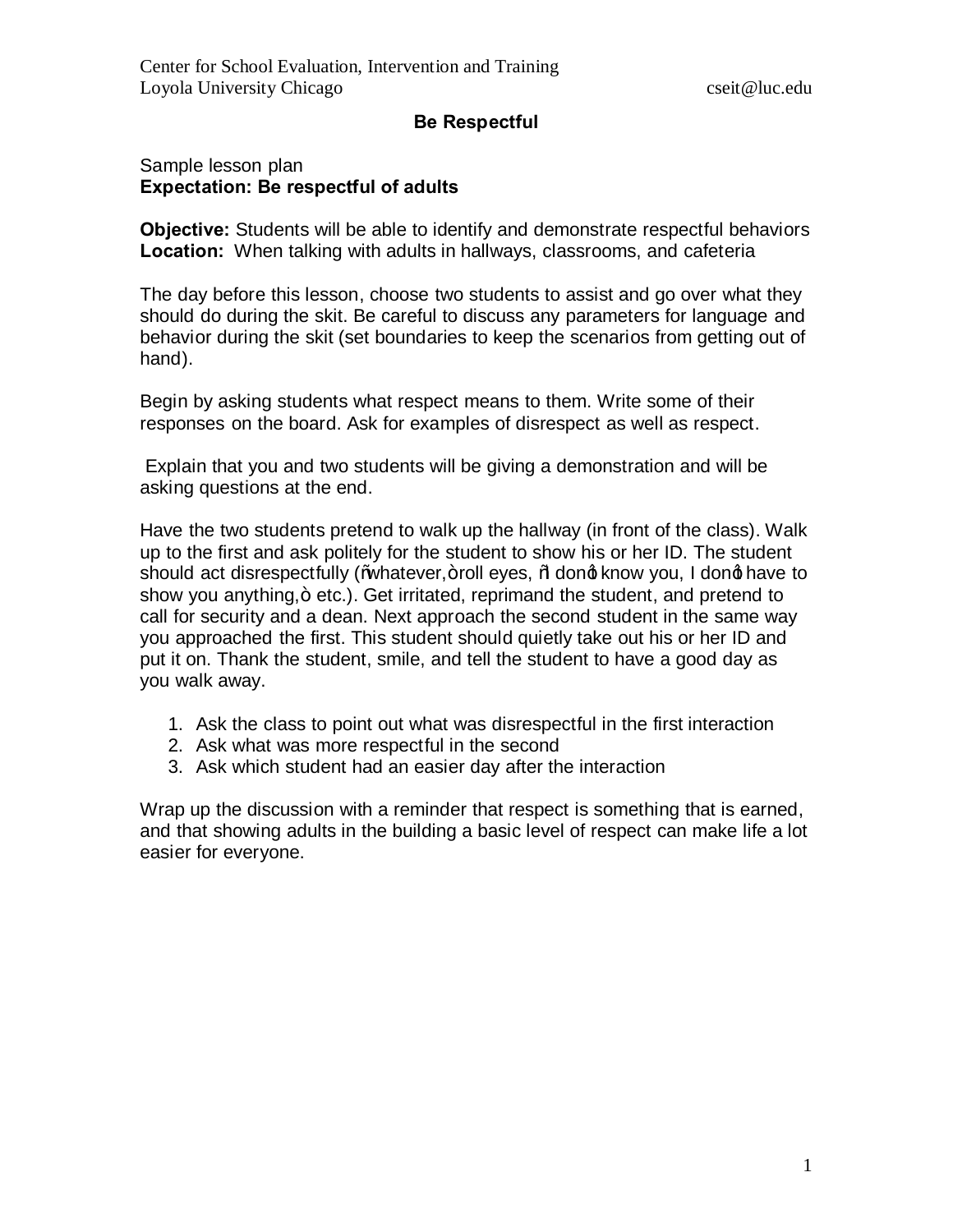### **Be Respectful**

#### Sample lesson plan **Expectation: Be respectful of adults**

**Objective:** Students will be able to identify and demonstrate respectful behaviors **Location:** When talking with adults in hallways, classrooms, and cafeteria

The day before this lesson, choose two students to assist and go over what they should do during the skit. Be careful to discuss any parameters for language and behavior during the skit (set boundaries to keep the scenarios from getting out of hand).

Begin by asking students what respect means to them. Write some of their responses on the board. Ask for examples of disrespect as well as respect.

 Explain that you and two students will be giving a demonstration and will be asking questions at the end.

Have the two students pretend to walk up the hallway (in front of the class). Walk up to the first and ask politely for the student to show his or her ID. The student should act disrespectfully (Whatever, +roll eyes, Modong know you, I dong have to show you anything, + etc.). Get irritated, reprimand the student, and pretend to call for security and a dean. Next approach the second student in the same way you approached the first. This student should quietly take out his or her ID and put it on. Thank the student, smile, and tell the student to have a good day as you walk away.

- 1. Ask the class to point out what was disrespectful in the first interaction
- 2. Ask what was more respectful in the second
- 3. Ask which student had an easier day after the interaction

Wrap up the discussion with a reminder that respect is something that is earned, and that showing adults in the building a basic level of respect can make life a lot easier for everyone.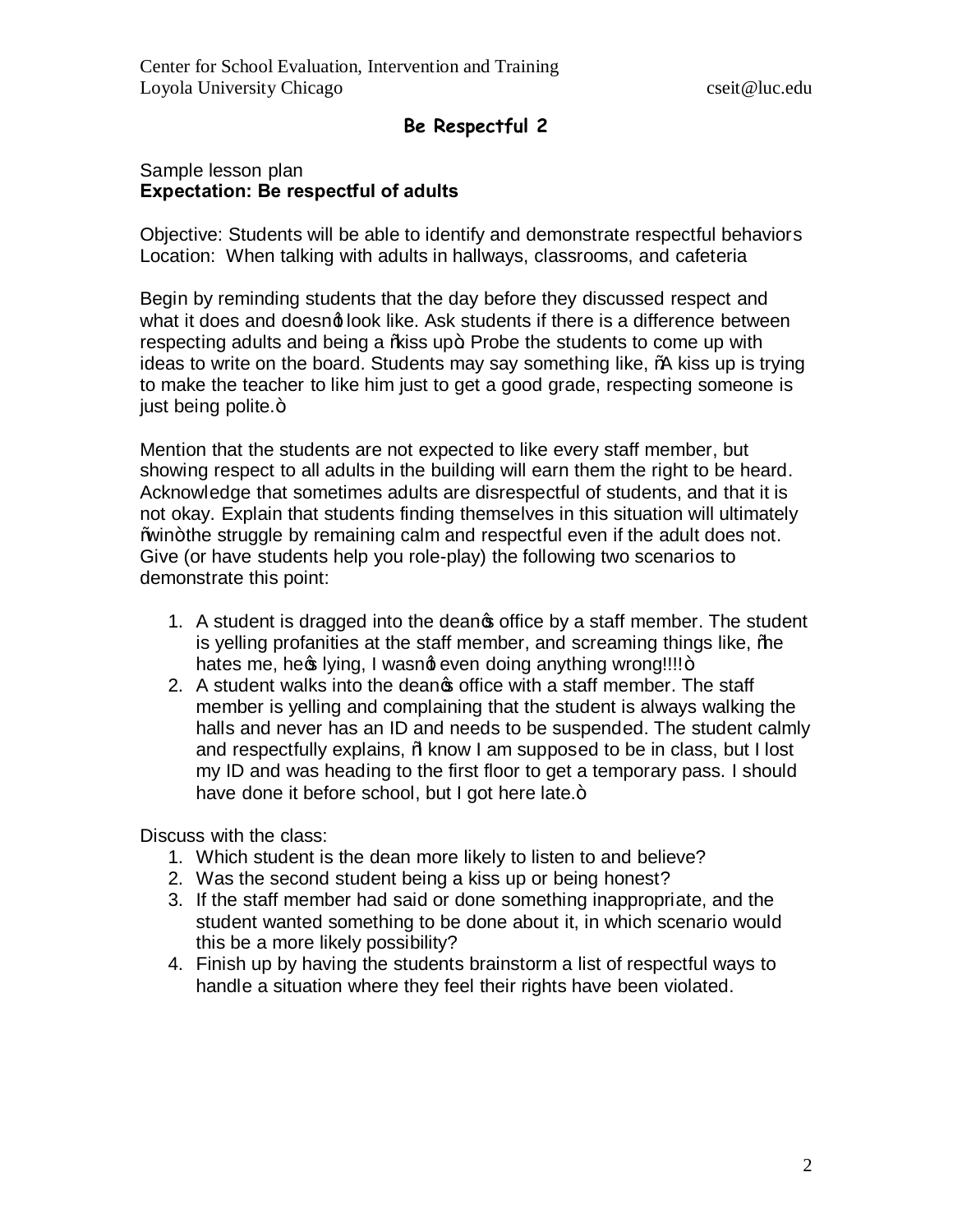# **Be Respectful 2**

## Sample lesson plan **Expectation: Be respectful of adults**

Objective: Students will be able to identify and demonstrate respectful behaviors Location: When talking with adults in hallways, classrooms, and cafeteria

Begin by reminding students that the day before they discussed respect and what it does and doesng look like. Ask students if there is a difference between respecting adults and being a % iss up+. Probe the students to come up with ideas to write on the board. Students may say something like, "A kiss up is trying to make the teacher to like him just to get a good grade, respecting someone is just being polite. $+$ 

Mention that the students are not expected to like every staff member, but showing respect to all adults in the building will earn them the right to be heard. Acknowledge that sometimes adults are disrespectful of students, and that it is not okay. Explain that students finding themselves in this situation will ultimately Wrin+the struggle by remaining calm and respectful even if the adult does not. Give (or have students help you role-play) the following two scenarios to demonstrate this point:

- 1. A student is dragged into the deangs office by a staff member. The student is yelling profanities at the staff member, and screaming things like,  $%$ hates me, heos lying, I wasnot even doing anything wrong!!!!+
- 2. A student walks into the deanos office with a staff member. The staff member is yelling and complaining that the student is always walking the halls and never has an ID and needs to be suspended. The student calmly and respectfully explains, % know I am supposed to be in class, but I lost my ID and was heading to the first floor to get a temporary pass. I should have done it before school, but I got here late.+

Discuss with the class:

- 1. Which student is the dean more likely to listen to and believe?
- 2. Was the second student being a kiss up or being honest?
- 3. If the staff member had said or done something inappropriate, and the student wanted something to be done about it, in which scenario would this be a more likely possibility?
- 4. Finish up by having the students brainstorm a list of respectful ways to handle a situation where they feel their rights have been violated.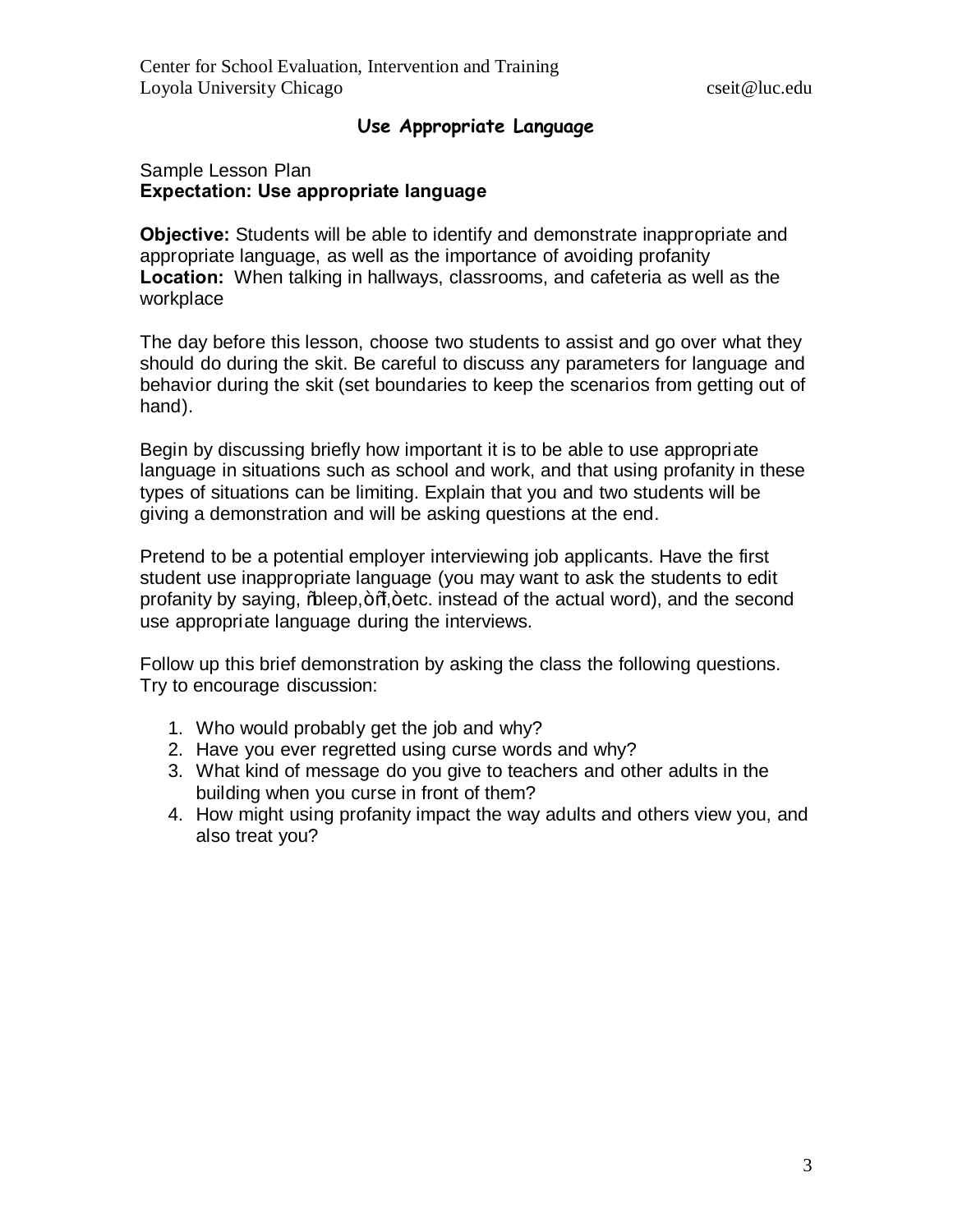# **Use Appropriate Language**

### Sample Lesson Plan **Expectation: Use appropriate language**

**Objective:** Students will be able to identify and demonstrate inappropriate and appropriate language, as well as the importance of avoiding profanity **Location:** When talking in hallways, classrooms, and cafeteria as well as the workplace

The day before this lesson, choose two students to assist and go over what they should do during the skit. Be careful to discuss any parameters for language and behavior during the skit (set boundaries to keep the scenarios from getting out of hand).

Begin by discussing briefly how important it is to be able to use appropriate language in situations such as school and work, and that using profanity in these types of situations can be limiting. Explain that you and two students will be giving a demonstration and will be asking questions at the end.

Pretend to be a potential employer interviewing job applicants. Have the first student use inappropriate language (you may want to ask the students to edit profanity by saying, % beep, + % tetc. instead of the actual word), and the second use appropriate language during the interviews.

Follow up this brief demonstration by asking the class the following questions. Try to encourage discussion:

- 1. Who would probably get the job and why?
- 2. Have you ever regretted using curse words and why?
- 3. What kind of message do you give to teachers and other adults in the building when you curse in front of them?
- 4. How might using profanity impact the way adults and others view you, and also treat you?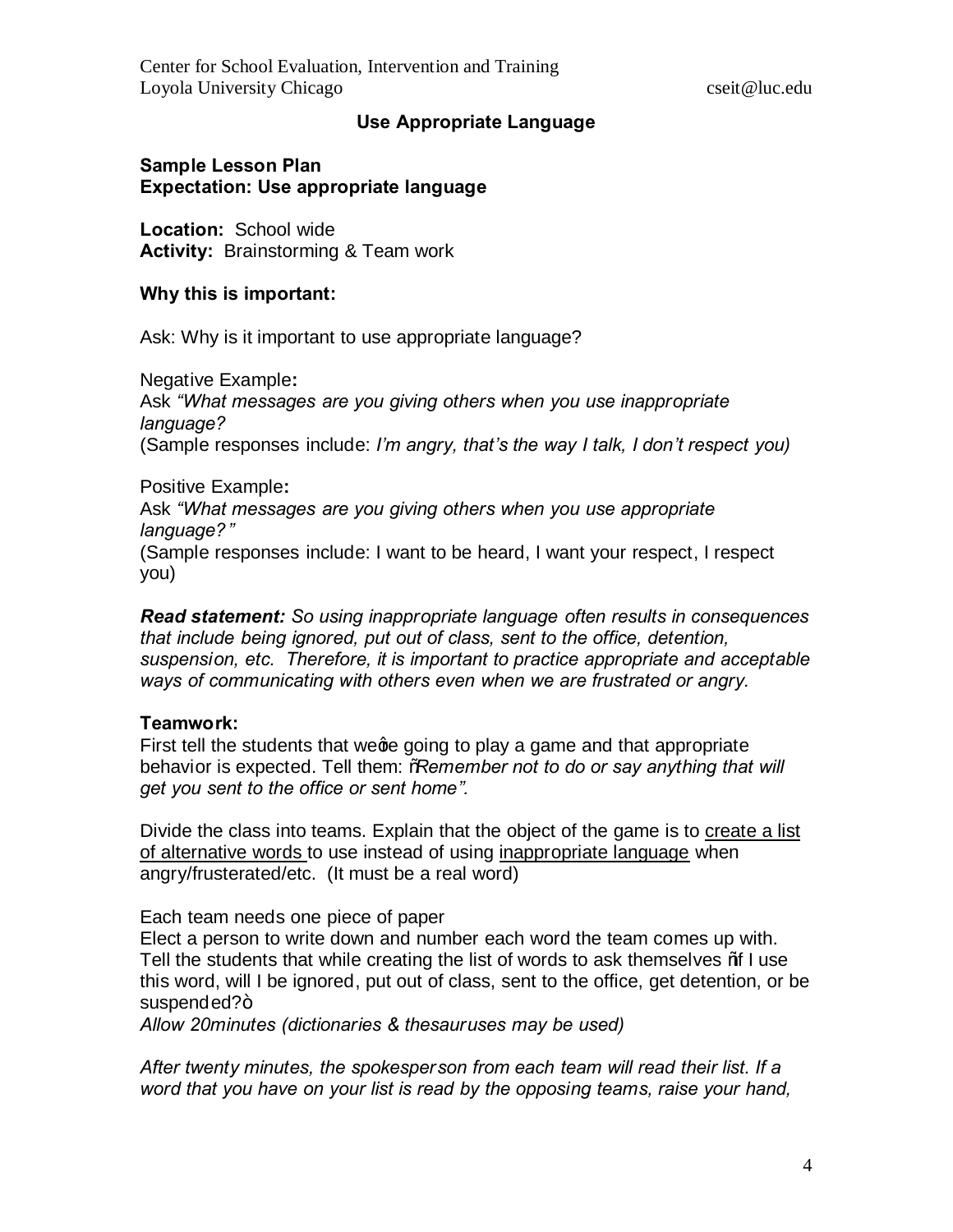# **Use Appropriate Language**

### **Sample Lesson Plan Expectation: Use appropriate language**

**Location:** School wide **Activity:** Brainstorming & Team work

### **Why this is important:**

Ask: Why is it important to use appropriate language?

Negative Example**:**  Ask *"What messages are you giving others when you use inappropriate language?*  (Sample responses include: *I'm angry, that's the way I talk, I don't respect you)*

Positive Example**:**  Ask *"What messages are you giving others when you use appropriate language?"* (Sample responses include: I want to be heard, I want your respect, I respect you)

*Read statement: So using inappropriate language often results in consequences that include being ignored, put out of class, sent to the office, detention, suspension, etc. Therefore, it is important to practice appropriate and acceptable ways of communicating with others even when we are frustrated or angry.*

### **Teamwork:**

First tell the students that wege going to play a game and that appropriate behavior is expected. Tell them: "*Remember not to do or say anything that will get you sent to the office or sent home".*

Divide the class into teams. Explain that the object of the game is to create a list of alternative words to use instead of using inappropriate language when angry/frusterated/etc. (It must be a real word)

Each team needs one piece of paper

Elect a person to write down and number each word the team comes up with. Tell the students that while creating the list of words to ask themselves \%I use this word, will I be ignored, put out of class, sent to the office, get detention, or be suspended?+

*Allow 20minutes (dictionaries & thesauruses may be used)*

*After twenty minutes, the spokesperson from each team will read their list. If a word that you have on your list is read by the opposing teams, raise your hand,*